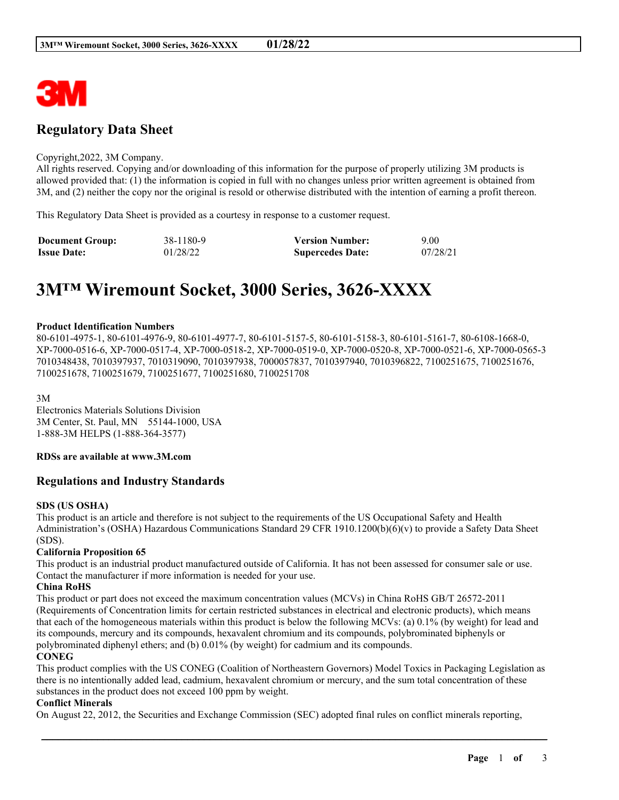

# **Regulatory Data Sheet**

#### Copyright,2022, 3M Company.

All rights reserved. Copying and/or downloading of this information for the purpose of properly utilizing 3M products is allowed provided that: (1) the information is copied in full with no changes unless prior written agreement is obtained from 3M, and (2) neither the copy nor the original is resold or otherwise distributed with the intention of earning a profit thereon.

This Regulatory Data Sheet is provided as a courtesy in response to a customer request.

| <b>Document Group:</b> | 38-1180-9 | <b>Version Number:</b>  | 9.00     |
|------------------------|-----------|-------------------------|----------|
| <b>Issue Date:</b>     | 01/28/22  | <b>Supercedes Date:</b> | 07/28/21 |

# **3M™ Wiremount Socket, 3000 Series, 3626-XXXX**

#### **Product Identification Numbers**

80-6101-4975-1, 80-6101-4976-9, 80-6101-4977-7, 80-6101-5157-5, 80-6101-5158-3, 80-6101-5161-7, 80-6108-1668-0, XP-7000-0516-6, XP-7000-0517-4, XP-7000-0518-2, XP-7000-0519-0, XP-7000-0520-8, XP-7000-0521-6, XP-7000-0565-3 7010348438, 7010397937, 7010319090, 7010397938, 7000057837, 7010397940, 7010396822, 7100251675, 7100251676, 7100251678, 7100251679, 7100251677, 7100251680, 7100251708

3M

Electronics Materials Solutions Division 3M Center, St. Paul, MN 55144-1000, USA 1-888-3M HELPS (1-888-364-3577)

#### **RDSs are available at www.3M.com**

# **Regulations and Industry Standards**

#### **SDS (US OSHA)**

This product is an article and therefore is not subject to the requirements of the US Occupational Safety and Health Administration's (OSHA) Hazardous Communications Standard 29 CFR 1910.1200(b)(6)(v) to provide a Safety Data Sheet (SDS).

# **California Proposition 65**

This product is an industrial product manufactured outside of California. It has not been assessed for consumer sale or use. Contact the manufacturer if more information is needed for your use.

#### **China RoHS**

This product or part does not exceed the maximum concentration values (MCVs) in China RoHS GB/T 26572-2011 (Requirements of Concentration limits for certain restricted substances in electrical and electronic products), which means that each of the homogeneous materials within this product is below the following MCVs: (a) 0.1% (by weight) for lead and its compounds, mercury and its compounds, hexavalent chromium and its compounds, polybrominated biphenyls or polybrominated diphenyl ethers; and (b) 0.01% (by weight) for cadmium and its compounds.

#### **CONEG**

This product complies with the US CONEG (Coalition of Northeastern Governors) Model Toxics in Packaging Legislation as there is no intentionally added lead, cadmium, hexavalent chromium or mercury, and the sum total concentration of these substances in the product does not exceed 100 ppm by weight.

\_\_\_\_\_\_\_\_\_\_\_\_\_\_\_\_\_\_\_\_\_\_\_\_\_\_\_\_\_\_\_\_\_\_\_\_\_\_\_\_\_\_\_\_\_\_\_\_\_\_\_\_\_\_\_\_\_\_\_\_\_\_\_\_\_\_\_\_\_\_\_\_\_\_\_\_\_\_\_\_\_\_\_\_\_\_\_\_\_\_

#### **Conflict Minerals**

On August 22, 2012, the Securities and Exchange Commission (SEC) adopted final rules on conflict minerals reporting,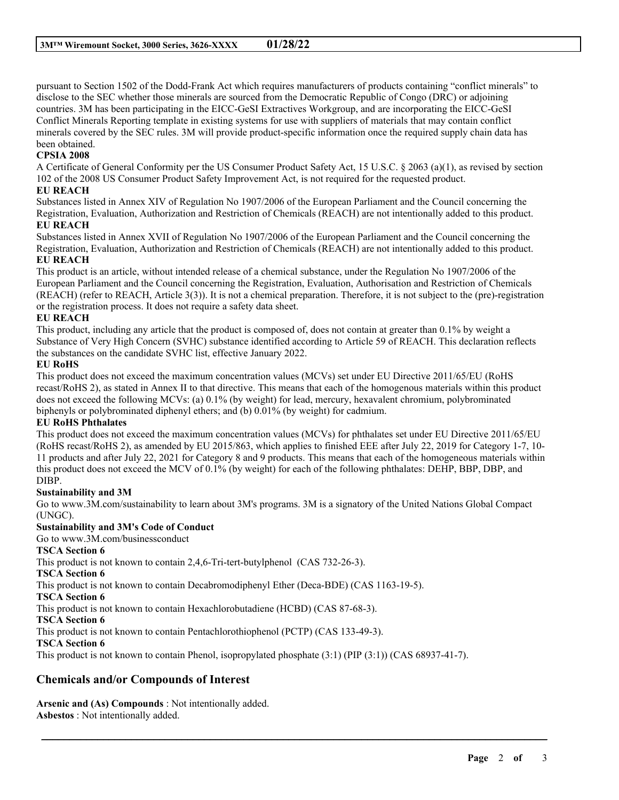pursuant to Section 1502 of the Dodd-Frank Act which requires manufacturers of products containing "conflict minerals" to disclose to the SEC whether those minerals are sourced from the Democratic Republic of Congo (DRC) or adjoining countries. 3M has been participating in the EICC-GeSI Extractives Workgroup, and are incorporating the EICC-GeSI Conflict Minerals Reporting template in existing systems for use with suppliers of materials that may contain conflict minerals covered by the SEC rules. 3M will provide product-specific information once the required supply chain data has been obtained.

# **CPSIA 2008**

A Certificate of General Conformity per the US Consumer Product Safety Act, 15 U.S.C. § 2063 (a)(1), as revised by section 102 of the 2008 US Consumer Product Safety Improvement Act, is not required for the requested product.

#### **EU REACH**

Substances listed in Annex XIV of Regulation No 1907/2006 of the European Parliament and the Council concerning the Registration, Evaluation, Authorization and Restriction of Chemicals (REACH) are not intentionally added to this product.

#### **EU REACH**

Substances listed in Annex XVII of Regulation No 1907/2006 of the European Parliament and the Council concerning the Registration, Evaluation, Authorization and Restriction of Chemicals (REACH) are not intentionally added to this product. **EU REACH**

This product is an article, without intended release of a chemical substance, under the Regulation No 1907/2006 of the European Parliament and the Council concerning the Registration, Evaluation, Authorisation and Restriction of Chemicals (REACH) (refer to REACH, Article 3(3)). It is not a chemical preparation. Therefore, it is not subject to the (pre)-registration or the registration process. It does not require a safety data sheet.

### **EU REACH**

This product, including any article that the product is composed of, does not contain at greater than 0.1% by weight a Substance of Very High Concern (SVHC) substance identified according to Article 59 of REACH. This declaration reflects the substances on the candidate SVHC list, effective January 2022.

#### **EU RoHS**

This product does not exceed the maximum concentration values (MCVs) set under EU Directive 2011/65/EU (RoHS recast/RoHS 2), as stated in Annex II to that directive. This means that each of the homogenous materials within this product does not exceed the following MCVs: (a) 0.1% (by weight) for lead, mercury, hexavalent chromium, polybrominated biphenyls or polybrominated diphenyl ethers; and (b) 0.01% (by weight) for cadmium.

# **EU RoHS Phthalates**

This product does not exceed the maximum concentration values (MCVs) for phthalates set under EU Directive 2011/65/EU (RoHS recast/RoHS 2), as amended by EU 2015/863, which applies to finished EEE after July 22, 2019 for Category 1-7, 10- 11 products and after July 22, 2021 for Category 8 and 9 products. This means that each of the homogeneous materials within this product does not exceed the MCV of 0.1% (by weight) for each of the following phthalates: DEHP, BBP, DBP, and DIBP.

# **Sustainability and 3M**

Go to www.3M.com/sustainability to learn about 3M's programs. 3M is a signatory of the United Nations Global Compact (UNGC).

\_\_\_\_\_\_\_\_\_\_\_\_\_\_\_\_\_\_\_\_\_\_\_\_\_\_\_\_\_\_\_\_\_\_\_\_\_\_\_\_\_\_\_\_\_\_\_\_\_\_\_\_\_\_\_\_\_\_\_\_\_\_\_\_\_\_\_\_\_\_\_\_\_\_\_\_\_\_\_\_\_\_\_\_\_\_\_\_\_\_

# **Sustainability and 3M's Code of Conduct**

Go to www.3M.com/businessconduct

# **TSCA Section 6**

This product is not known to contain 2,4,6-Tri-tert-butylphenol (CAS 732-26-3).

**TSCA Section 6**

This product is not known to contain Decabromodiphenyl Ether (Deca-BDE) (CAS 1163-19-5).

**TSCA Section 6**

This product is not known to contain Hexachlorobutadiene (HCBD) (CAS 87-68-3).

**TSCA Section 6**

This product is not known to contain Pentachlorothiophenol (PCTP) (CAS 133-49-3).

# **TSCA Section 6**

This product is not known to contain Phenol, isopropylated phosphate (3:1) (PIP (3:1)) (CAS 68937-41-7).

# **Chemicals and/or Compounds of Interest**

**Arsenic and (As) Compounds** : Not intentionally added. **Asbestos** : Not intentionally added.